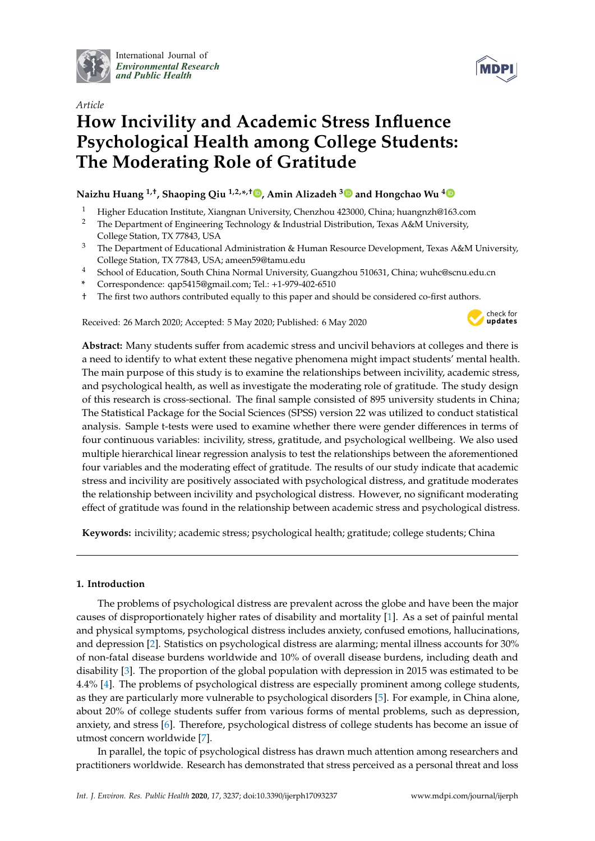

International Journal of *[Environmental Research](http://www.mdpi.com/journal/ijerph) and Public Health*



# *Article* **How Incivility and Academic Stress Influence Psychological Health among College Students: The Moderating Role of Gratitude**

## **Naizhu Huang 1,**† **, Shaoping Qiu 1,2,\* ,**† **[,](https://orcid.org/0000-0002-2857-4415) Amin Alizadeh [3](https://orcid.org/0000-0003-0426-5420) and Hongchao Wu [4](https://orcid.org/0000-0002-0656-6000)**

- <sup>1</sup> Higher Education Institute, Xiangnan University, Chenzhou 423000, China; huangnzh@163.com<br><sup>2</sup> The Department of Engineering Technology & Industrial Distribution Toyes A & M University
- <sup>2</sup> The Department of Engineering Technology & Industrial Distribution, Texas A&M University, College Station, TX 77843, USA
- <sup>3</sup> The Department of Educational Administration & Human Resource Development, Texas A&M University, College Station, TX 77843, USA; ameen59@tamu.edu
- <sup>4</sup> School of Education, South China Normal University, Guangzhou 510631, China; wuhc@scnu.edu.cn
- **\*** Correspondence: qap5415@gmail.com; Tel.: +1-979-402-6510
- † The first two authors contributed equally to this paper and should be considered co-first authors.

Received: 26 March 2020; Accepted: 5 May 2020; Published: 6 May 2020



**Abstract:** Many students suffer from academic stress and uncivil behaviors at colleges and there is a need to identify to what extent these negative phenomena might impact students' mental health. The main purpose of this study is to examine the relationships between incivility, academic stress, and psychological health, as well as investigate the moderating role of gratitude. The study design of this research is cross-sectional. The final sample consisted of 895 university students in China; The Statistical Package for the Social Sciences (SPSS) version 22 was utilized to conduct statistical analysis. Sample t-tests were used to examine whether there were gender differences in terms of four continuous variables: incivility, stress, gratitude, and psychological wellbeing. We also used multiple hierarchical linear regression analysis to test the relationships between the aforementioned four variables and the moderating effect of gratitude. The results of our study indicate that academic stress and incivility are positively associated with psychological distress, and gratitude moderates the relationship between incivility and psychological distress. However, no significant moderating effect of gratitude was found in the relationship between academic stress and psychological distress.

**Keywords:** incivility; academic stress; psychological health; gratitude; college students; China

## **1. Introduction**

The problems of psychological distress are prevalent across the globe and have been the major causes of disproportionately higher rates of disability and mortality [\[1\]](#page-7-0). As a set of painful mental and physical symptoms, psychological distress includes anxiety, confused emotions, hallucinations, and depression [\[2\]](#page-7-1). Statistics on psychological distress are alarming; mental illness accounts for 30% of non-fatal disease burdens worldwide and 10% of overall disease burdens, including death and disability [\[3\]](#page-8-0). The proportion of the global population with depression in 2015 was estimated to be 4.4% [\[4\]](#page-8-1). The problems of psychological distress are especially prominent among college students, as they are particularly more vulnerable to psychological disorders [\[5\]](#page-8-2). For example, in China alone, about 20% of college students suffer from various forms of mental problems, such as depression, anxiety, and stress [\[6\]](#page-8-3). Therefore, psychological distress of college students has become an issue of utmost concern worldwide [\[7\]](#page-8-4).

In parallel, the topic of psychological distress has drawn much attention among researchers and practitioners worldwide. Research has demonstrated that stress perceived as a personal threat and loss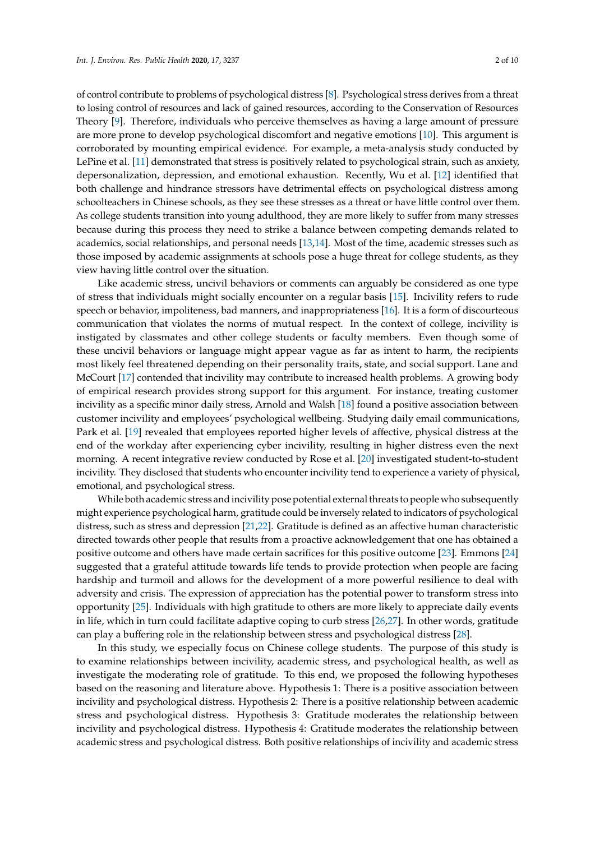of control contribute to problems of psychological distress [\[8\]](#page-8-5). Psychological stress derives from a threat to losing control of resources and lack of gained resources, according to the Conservation of Resources Theory [\[9\]](#page-8-6). Therefore, individuals who perceive themselves as having a large amount of pressure are more prone to develop psychological discomfort and negative emotions [\[10\]](#page-8-7). This argument is corroborated by mounting empirical evidence. For example, a meta-analysis study conducted by LePine et al. [\[11\]](#page-8-8) demonstrated that stress is positively related to psychological strain, such as anxiety, depersonalization, depression, and emotional exhaustion. Recently, Wu et al. [\[12\]](#page-8-9) identified that both challenge and hindrance stressors have detrimental effects on psychological distress among schoolteachers in Chinese schools, as they see these stresses as a threat or have little control over them. As college students transition into young adulthood, they are more likely to suffer from many stresses because during this process they need to strike a balance between competing demands related to academics, social relationships, and personal needs [\[13,](#page-8-10)[14\]](#page-8-11). Most of the time, academic stresses such as those imposed by academic assignments at schools pose a huge threat for college students, as they view having little control over the situation.

Like academic stress, uncivil behaviors or comments can arguably be considered as one type of stress that individuals might socially encounter on a regular basis [\[15\]](#page-8-12). Incivility refers to rude speech or behavior, impoliteness, bad manners, and inappropriateness [\[16\]](#page-8-13). It is a form of discourteous communication that violates the norms of mutual respect. In the context of college, incivility is instigated by classmates and other college students or faculty members. Even though some of these uncivil behaviors or language might appear vague as far as intent to harm, the recipients most likely feel threatened depending on their personality traits, state, and social support. Lane and McCourt [\[17\]](#page-8-14) contended that incivility may contribute to increased health problems. A growing body of empirical research provides strong support for this argument. For instance, treating customer incivility as a specific minor daily stress, Arnold and Walsh [\[18\]](#page-8-15) found a positive association between customer incivility and employees' psychological wellbeing. Studying daily email communications, Park et al. [\[19\]](#page-8-16) revealed that employees reported higher levels of affective, physical distress at the end of the workday after experiencing cyber incivility, resulting in higher distress even the next morning. A recent integrative review conducted by Rose et al. [\[20\]](#page-8-17) investigated student-to-student incivility. They disclosed that students who encounter incivility tend to experience a variety of physical, emotional, and psychological stress.

While both academic stress and incivility pose potential external threats to people who subsequently might experience psychological harm, gratitude could be inversely related to indicators of psychological distress, such as stress and depression [\[21,](#page-8-18)[22\]](#page-8-19). Gratitude is defined as an affective human characteristic directed towards other people that results from a proactive acknowledgement that one has obtained a positive outcome and others have made certain sacrifices for this positive outcome [\[23\]](#page-8-20). Emmons [\[24\]](#page-8-21) suggested that a grateful attitude towards life tends to provide protection when people are facing hardship and turmoil and allows for the development of a more powerful resilience to deal with adversity and crisis. The expression of appreciation has the potential power to transform stress into opportunity [\[25\]](#page-9-0). Individuals with high gratitude to others are more likely to appreciate daily events in life, which in turn could facilitate adaptive coping to curb stress [\[26](#page-9-1)[,27\]](#page-9-2). In other words, gratitude can play a buffering role in the relationship between stress and psychological distress [\[28\]](#page-9-3).

In this study, we especially focus on Chinese college students. The purpose of this study is to examine relationships between incivility, academic stress, and psychological health, as well as investigate the moderating role of gratitude. To this end, we proposed the following hypotheses based on the reasoning and literature above. Hypothesis 1: There is a positive association between incivility and psychological distress. Hypothesis 2: There is a positive relationship between academic stress and psychological distress. Hypothesis 3: Gratitude moderates the relationship between incivility and psychological distress. Hypothesis 4: Gratitude moderates the relationship between academic stress and psychological distress. Both positive relationships of incivility and academic stress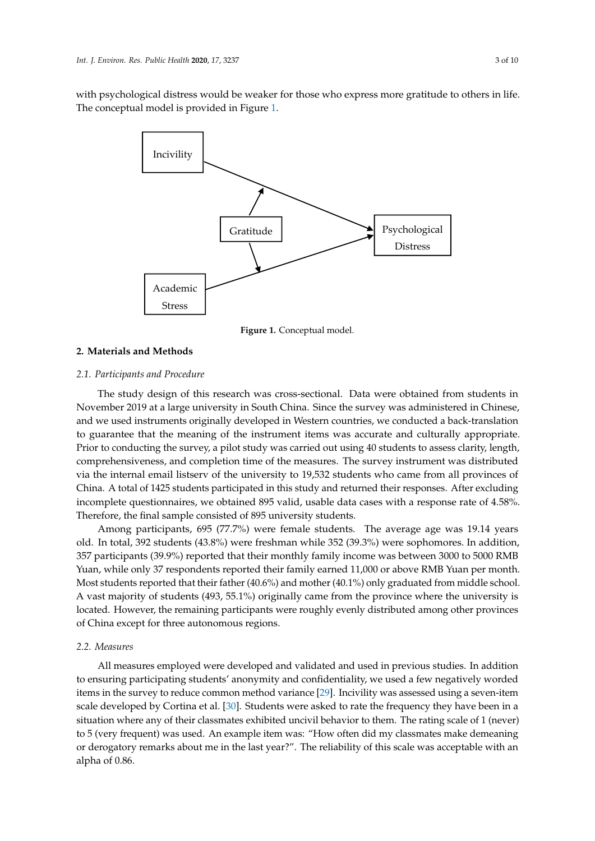<span id="page-2-0"></span>with psychological distress would be weaker for those who express more gratitude to others in life. The conceptual model is provided in Figure [1.](#page-2-0)



**Figure 1.** Conceptual model. **Figure 1.** Conceptual model.

# **2. Materials and Methods 2. Materials and Methods**

# *2.1. Participants and Procedure 2.1. Participants and Procedure*

The study design of this research was cross-sectional. Data were obtained from students in November 2019 at a large university in South China. Since the survey was administered in Chinese, November 2019 at a large university in South China. Since the survey was administered in Chinese, and we used instruments originally developed in Western countries, we conducted a back-translation to guarantee that the meaning of the instrument items was accurate and culturally appropriate. to guarantee that the meaning of the instrument items was accurate and culturally appropriate. Prior Prior to conducting the survey, a pilot study was carried out using 40 students to assess clarity, length, to conducting the survey, a pilot study was carried out using 40 students to assess clarity, length, comprehensiveness, and completion time of the measures. The survey instrument was distributed comprehensiveness, and completion time of the measures. The survey instrument was distributed via the internal email listserv of the university to 19,532 students who came from all provinces of via the internal email listserv of the university to 19,532 students who came from all provinces of China. A total of 1425 students participated in this study and returned their responses. After excluding China. A total of 1425 students participated in this study and returned their responses. After incomplete questionnaires, we obtained 895 valid, usable data cases with a response rate of 4.58%. excluding incomplete questionnaires, we obtained 895 valid, usable data cases with a response rate Therefore, the final sample consisted of 895 university students. The study design of this research was cross-sectional. Data were obtained from students in

Among participants, 695 (77.7%) were female students. The average age was 19.14 years Among participants, 695 (77.7%) were female students. The average age was 19.14 years old. In old. In total, 392 students (43.8%) were freshman while 352 (39.3%) were sophomores. In addition, total, 392 students (43.8%) were freshman while 352 (39.3%) were sophomores. In addition, 357 participants (39.9%) reported that their monthly family income was between 3000 to 5000 RMB 357 participants (39.9%) reported that their monthly family income was between 3000 to 5000 RMB Yuan, while only 37 respondents reported their family earned 11,000 or above RMB Yuan per month. Yuan, while only 37 respondents reported their family earned 11,000 or above RMB Yuan per month. Most students reported that their father (40.6%) and mother (40.1%) only graduated from middle school. A vast majority of students (493, 55.1%) originally came from the province where the university is state majority of students (493, 55.1%) originally came from the province where the province where the province located. However, the remaining participants were roughly evenly distributed among other provinces<br>at China mong for the remaining participants were roughly evenly distributed among other provinces of China except for three autonomous regions.

#### *2.2. Measures*

to ensuring participating students' anonymity and confidentiality, we used a few negatively worded items in the survey to reduce common method variance [\[29\]](#page-9-4). Incivility was assessed using a seven-item scale developed by Cortina et al. [\[30\]](#page-9-5). Students were asked to rate the frequency they have been in a situation where any of their classmates exhibited uncivil behavior to them. The rating scale of 1 (never) to 5 (very frequent) was used. An example item was: "How often did my classmates make demeaning or derogatory remarks about me in the last year?". The reliability of this scale was acceptable with an  $\frac{d}{dt}$  demeans about me in the last year  $\frac{d}{dt}$  $\overline{1}$ All measures employed were developed and validated and used in previous studies. In addition alpha of 0.86.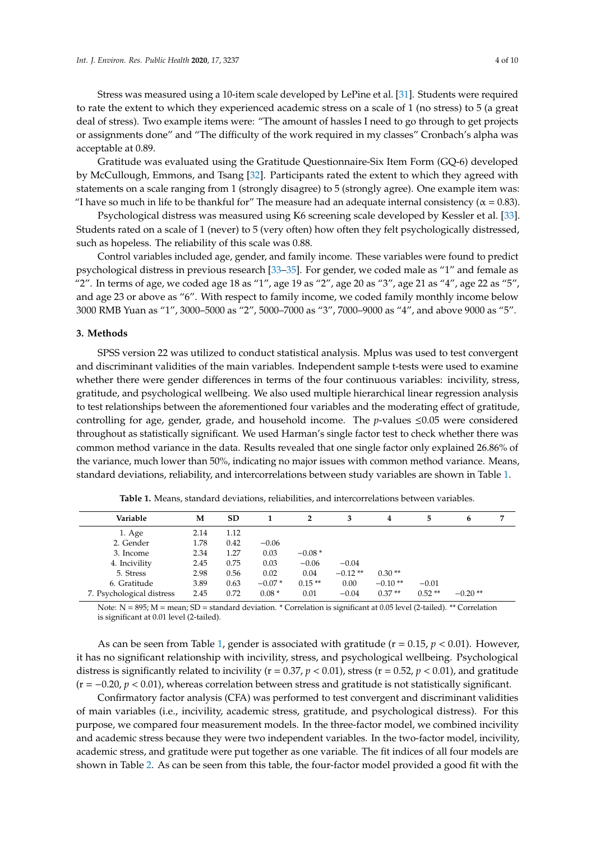Stress was measured using a 10-item scale developed by LePine et al. [\[31\]](#page-9-6). Students were required to rate the extent to which they experienced academic stress on a scale of 1 (no stress) to 5 (a great deal of stress). Two example items were: "The amount of hassles I need to go through to get projects or assignments done" and "The difficulty of the work required in my classes" Cronbach's alpha was acceptable at 0.89.

Gratitude was evaluated using the Gratitude Questionnaire-Six Item Form (GQ-6) developed by McCullough, Emmons, and Tsang [\[32\]](#page-9-7). Participants rated the extent to which they agreed with statements on a scale ranging from 1 (strongly disagree) to 5 (strongly agree). One example item was: "I have so much in life to be thankful for" The measure had an adequate internal consistency ( $\alpha = 0.83$ ).

Psychological distress was measured using K6 screening scale developed by Kessler et al. [\[33\]](#page-9-8). Students rated on a scale of 1 (never) to 5 (very often) how often they felt psychologically distressed, such as hopeless. The reliability of this scale was 0.88.

Control variables included age, gender, and family income. These variables were found to predict psychological distress in previous research [\[33–](#page-9-8)[35\]](#page-9-9). For gender, we coded male as "1" and female as "2". In terms of age, we coded age 18 as "1", age 19 as "2", age 20 as "3", age 21 as "4", age 22 as "5", and age 23 or above as "6". With respect to family income, we coded family monthly income below 3000 RMB Yuan as "1", 3000–5000 as "2", 5000–7000 as "3", 7000–9000 as "4", and above 9000 as "5".

#### **3. Methods**

SPSS version 22 was utilized to conduct statistical analysis. Mplus was used to test convergent and discriminant validities of the main variables. Independent sample t-tests were used to examine whether there were gender differences in terms of the four continuous variables: incivility, stress, gratitude, and psychological wellbeing. We also used multiple hierarchical linear regression analysis to test relationships between the aforementioned four variables and the moderating effect of gratitude, controlling for age, gender, grade, and household income. The *p*-values ≤0.05 were considered throughout as statistically significant. We used Harman's single factor test to check whether there was common method variance in the data. Results revealed that one single factor only explained 26.86% of the variance, much lower than 50%, indicating no major issues with common method variance. Means, standard deviations, reliability, and intercorrelations between study variables are shown in Table [1.](#page-3-0)

<span id="page-3-0"></span>

| М    | SD   |          | $\overline{2}$ | 3         | 4         | 5        | 6         | 7 |
|------|------|----------|----------------|-----------|-----------|----------|-----------|---|
| 2.14 | 1.12 |          |                |           |           |          |           |   |
| 1.78 | 0.42 | $-0.06$  |                |           |           |          |           |   |
| 2.34 | 1.27 | 0.03     | $-0.08*$       |           |           |          |           |   |
| 2.45 | 0.75 | 0.03     | $-0.06$        | $-0.04$   |           |          |           |   |
| 2.98 | 0.56 | 0.02     | 0.04           | $-0.12**$ | $0.30**$  |          |           |   |
| 3.89 | 0.63 | $-0.07*$ | $0.15**$       | 0.00      | $-0.10**$ | $-0.01$  |           |   |
| 2.45 | 0.72 | $0.08*$  | 0.01           | $-0.04$   | $0.37**$  | $0.52**$ | $-0.20**$ |   |
|      |      |          |                |           |           |          |           |   |

**Table 1.** Means, standard deviations, reliabilities, and intercorrelations between variables.

Note: N = 895; M = mean; SD = standard deviation. \* Correlation is significant at 0.05 level (2-tailed). \*\* Correlation is significant at 0.01 level (2-tailed).

As can be seen from Table [1,](#page-3-0) gender is associated with gratitude ( $r = 0.15$ ,  $p < 0.01$ ). However, it has no significant relationship with incivility, stress, and psychological wellbeing. Psychological distress is significantly related to incivility ( $r = 0.37$ ,  $p < 0.01$ ), stress ( $r = 0.52$ ,  $p < 0.01$ ), and gratitude (r = −0.20, *p* < 0.01), whereas correlation between stress and gratitude is not statistically significant.

Confirmatory factor analysis (CFA) was performed to test convergent and discriminant validities of main variables (i.e., incivility, academic stress, gratitude, and psychological distress). For this purpose, we compared four measurement models. In the three-factor model, we combined incivility and academic stress because they were two independent variables. In the two-factor model, incivility, academic stress, and gratitude were put together as one variable. The fit indices of all four models are shown in Table [2.](#page-4-0) As can be seen from this table, the four-factor model provided a good fit with the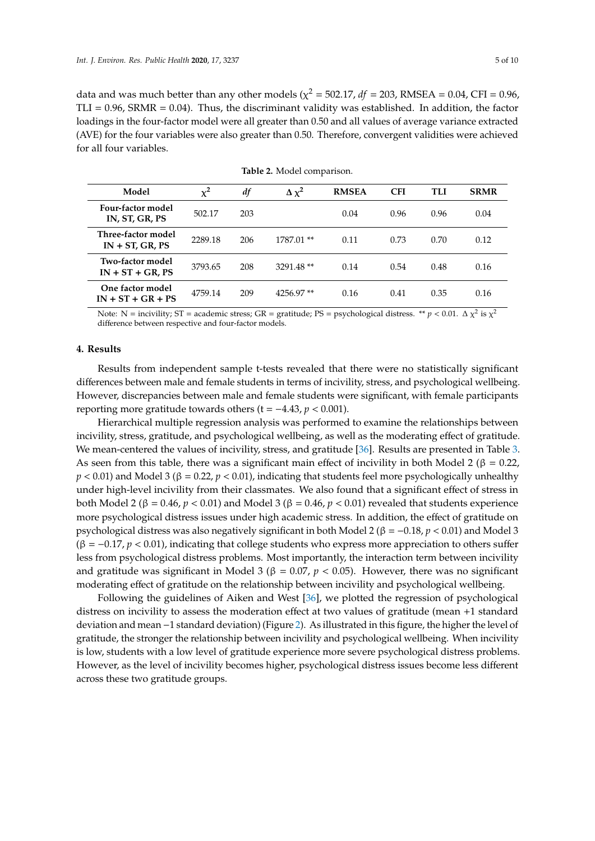data and was much better than any other models ( $\chi^2$  = 502.17,  $df$  = 203, RMSEA = 0.04, CFI = 0.96,  $TLI = 0.96$ ,  $SRMR = 0.04$ ). Thus, the discriminant validity was established. In addition, the factor loadings in the four-factor model were all greater than 0.50 and all values of average variance extracted (AVE) for the four variables were also greater than 0.50. Therefore, convergent validities were achieved for all four variables.

<span id="page-4-0"></span>

| Model                                    | $\chi^2$ | df  | $\Delta \chi^2$ | <b>RMSEA</b> | <b>CFI</b> | TLI  | <b>SRMR</b> |
|------------------------------------------|----------|-----|-----------------|--------------|------------|------|-------------|
| Four-factor model<br>IN, ST, GR, PS      | 502.17   | 203 |                 | 0.04         | 0.96       | 0.96 | 0.04        |
| Three-factor model<br>$IN + ST$ , GR, PS | 2289.18  | 206 | 1787.01 **      | 0.11         | 0.73       | 0.70 | 0.12        |
| Two-factor model<br>$IN + ST + GR$ , PS  | 3793.65  | 208 | 3291.48**       | 0.14         | 0.54       | 0.48 | 0.16        |
| One factor model<br>$IN + ST + GR + PS$  | 4759.14  | 209 | 4256.97**       | 0.16         | 0.41       | 0.35 | 0.16        |

|  | Table 2. Model comparison. |
|--|----------------------------|
|--|----------------------------|

Note: N = incivility; ST = academic stress; GR = gratitude; PS = psychological distress. \*\*  $p < 0.01$ .  $\Delta \chi^2$  is  $\chi^2$ difference between respective and four-factor models.

#### **4. Results**

Results from independent sample t-tests revealed that there were no statistically significant differences between male and female students in terms of incivility, stress, and psychological wellbeing. However, discrepancies between male and female students were significant, with female participants reporting more gratitude towards others (t = −4.43, *p* < 0.001).

Hierarchical multiple regression analysis was performed to examine the relationships between incivility, stress, gratitude, and psychological wellbeing, as well as the moderating effect of gratitude. We mean-centered the values of incivility, stress, and gratitude [\[36\]](#page-9-10). Results are presented in Table [3.](#page-5-0) As seen from this table, there was a significant main effect of incivility in both Model 2 ( $\beta = 0.22$ , *p* < 0.01) and Model 3 (β = 0.22, *p* < 0.01), indicating that students feel more psychologically unhealthy under high-level incivility from their classmates. We also found that a significant effect of stress in both Model 2 (β = 0.46, *p* < 0.01) and Model 3 (β = 0.46, *p* < 0.01) revealed that students experience more psychological distress issues under high academic stress. In addition, the effect of gratitude on psychological distress was also negatively significant in both Model 2 (β = −0.18, *p* < 0.01) and Model 3 (β = −0.17, *p* < 0.01), indicating that college students who express more appreciation to others suffer less from psychological distress problems. Most importantly, the interaction term between incivility and gratitude was significant in Model 3 (β = 0.07,  $p$  < 0.05). However, there was no significant moderating effect of gratitude on the relationship between incivility and psychological wellbeing.

Following the guidelines of Aiken and West [\[36\]](#page-9-10), we plotted the regression of psychological distress on incivility to assess the moderation effect at two values of gratitude (mean +1 standard deviation and mean −1 standard deviation) (Figure [2\)](#page-5-1). As illustrated in this figure, the higher the level of gratitude, the stronger the relationship between incivility and psychological wellbeing. When incivility is low, students with a low level of gratitude experience more severe psychological distress problems. However, as the level of incivility becomes higher, psychological distress issues become less different across these two gratitude groups.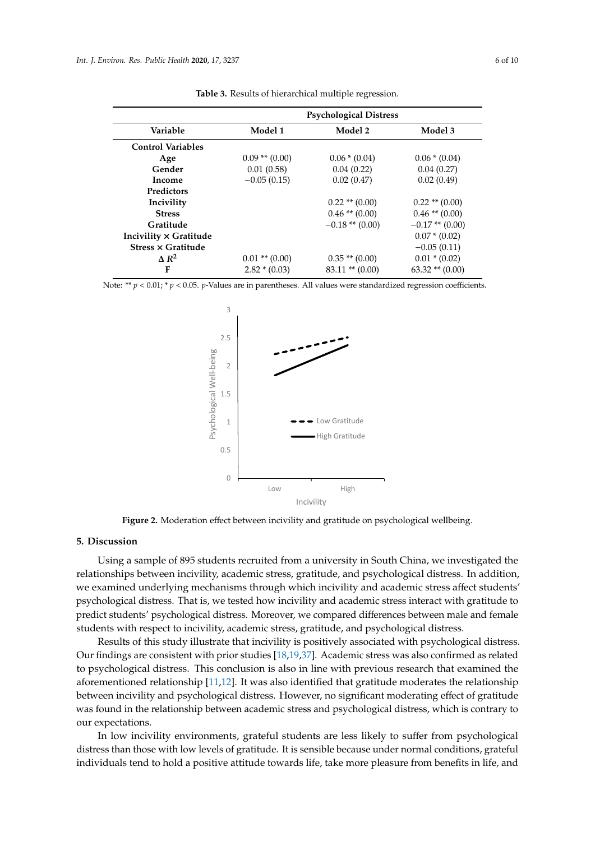<span id="page-5-0"></span>

| Variable                 | <b>Psychological Distress</b> |                    |                    |  |  |
|--------------------------|-------------------------------|--------------------|--------------------|--|--|
|                          | Model 1                       | Model 2            | Model 3            |  |  |
| <b>Control Variables</b> |                               |                    |                    |  |  |
| Age                      | $0.09**$ (0.00)               | $0.06 * (0.04)$    | $0.06 * (0.04)$    |  |  |
| Gender                   | 0.01(0.58)                    | 0.04(0.22)         | 0.04(0.27)         |  |  |
| Income                   | $-0.05(0.15)$                 | 0.02(0.47)         | 0.02(0.49)         |  |  |
| Predictors               |                               |                    |                    |  |  |
| Incivility               |                               | $0.22$ ** $(0.00)$ | $0.22$ ** $(0.00)$ |  |  |
| <b>Stress</b>            |                               | $0.46$ ** $(0.00)$ | $0.46$ ** $(0.00)$ |  |  |
| Gratitude                |                               | $-0.18$ ** (0.00)  | $-0.17**$ (0.00)   |  |  |
| Incivility × Gratitude   |                               |                    | $0.07 * (0.02)$    |  |  |
| Stress × Gratitude       |                               |                    | $-0.05(0.11)$      |  |  |
| $\Delta R^2$             | $0.01$ ** $(0.00)$            | $0.35$ ** $(0.00)$ | $0.01 * (0.02)$    |  |  |
| F                        | $2.82 * (0.03)$               | $83.11**$ (0.00)   | $63.32**$ (0.00)   |  |  |

Table 3. Results of hierarchical multiple regression.

<span id="page-5-1"></span>Note: \*\*  $p < 0.01$ ; \*  $p < 0.05$ . p-Values are in parentheses. All values were standardized regression coefficients.



**Figure 2.** Moderation effect between incivility and gratitude on psychological wellbeing.

### **5. Discussion**

Using a sample of 895 students recruited from a university in South China, we investigated the relationships between incivility, academic stress, gratitude, and psychological distress. In addition, we examined underlying mechanisms through which incivility and academic stress affect students' psychological distress. That is, we tested how incivility and academic stress interact with gratitude to predict students' psychological distress. Moreover, we compared differences between male and female students with respect to incivility, academic stress, gratitude, and psychological distress.

Results of this study illustrate that incivility is positively associated with psychological distress. Our findings are consistent with prior studies [\[18](#page-8-15)[,19](#page-8-16)[,37\]](#page-9-11). Academic stress was also confirmed as related to psychological distress. This conclusion is also in line with previous research that examined the aforementioned relationship [\[11,](#page-8-8)[12\]](#page-8-9). It was also identified that gratitude moderates the relationship between incivility and psychological distress. However, no significant moderating effect of gratitude was found in the relationship between academic stress and psychological distress, which is contrary to our expectations.

In low incivility environments, grateful students are less likely to suffer from psychological distress than those with low levels of gratitude. It is sensible because under normal conditions, grateful individuals tend to hold a positive attitude towards life, take more pleasure from benefits in life, and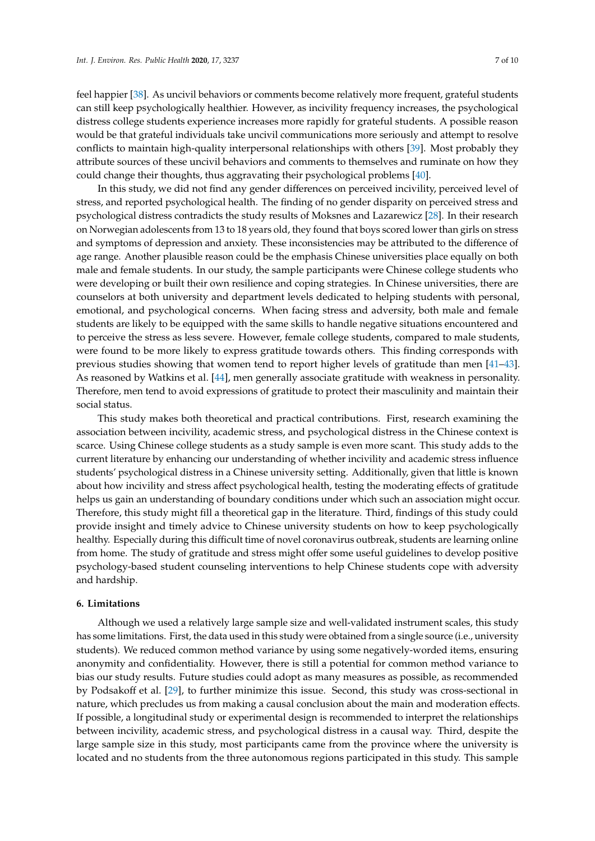feel happier [\[38\]](#page-9-12). As uncivil behaviors or comments become relatively more frequent, grateful students can still keep psychologically healthier. However, as incivility frequency increases, the psychological distress college students experience increases more rapidly for grateful students. A possible reason would be that grateful individuals take uncivil communications more seriously and attempt to resolve conflicts to maintain high-quality interpersonal relationships with others [\[39\]](#page-9-13). Most probably they attribute sources of these uncivil behaviors and comments to themselves and ruminate on how they could change their thoughts, thus aggravating their psychological problems [\[40\]](#page-9-14).

In this study, we did not find any gender differences on perceived incivility, perceived level of stress, and reported psychological health. The finding of no gender disparity on perceived stress and psychological distress contradicts the study results of Moksnes and Lazarewicz [\[28\]](#page-9-3). In their research on Norwegian adolescents from 13 to 18 years old, they found that boys scored lower than girls on stress and symptoms of depression and anxiety. These inconsistencies may be attributed to the difference of age range. Another plausible reason could be the emphasis Chinese universities place equally on both male and female students. In our study, the sample participants were Chinese college students who were developing or built their own resilience and coping strategies. In Chinese universities, there are counselors at both university and department levels dedicated to helping students with personal, emotional, and psychological concerns. When facing stress and adversity, both male and female students are likely to be equipped with the same skills to handle negative situations encountered and to perceive the stress as less severe. However, female college students, compared to male students, were found to be more likely to express gratitude towards others. This finding corresponds with previous studies showing that women tend to report higher levels of gratitude than men [\[41–](#page-9-15)[43\]](#page-9-16). As reasoned by Watkins et al. [\[44\]](#page-9-17), men generally associate gratitude with weakness in personality. Therefore, men tend to avoid expressions of gratitude to protect their masculinity and maintain their social status.

This study makes both theoretical and practical contributions. First, research examining the association between incivility, academic stress, and psychological distress in the Chinese context is scarce. Using Chinese college students as a study sample is even more scant. This study adds to the current literature by enhancing our understanding of whether incivility and academic stress influence students' psychological distress in a Chinese university setting. Additionally, given that little is known about how incivility and stress affect psychological health, testing the moderating effects of gratitude helps us gain an understanding of boundary conditions under which such an association might occur. Therefore, this study might fill a theoretical gap in the literature. Third, findings of this study could provide insight and timely advice to Chinese university students on how to keep psychologically healthy. Especially during this difficult time of novel coronavirus outbreak, students are learning online from home. The study of gratitude and stress might offer some useful guidelines to develop positive psychology-based student counseling interventions to help Chinese students cope with adversity and hardship.

### **6. Limitations**

Although we used a relatively large sample size and well-validated instrument scales, this study has some limitations. First, the data used in this study were obtained from a single source (i.e., university students). We reduced common method variance by using some negatively-worded items, ensuring anonymity and confidentiality. However, there is still a potential for common method variance to bias our study results. Future studies could adopt as many measures as possible, as recommended by Podsakoff et al. [\[29\]](#page-9-4), to further minimize this issue. Second, this study was cross-sectional in nature, which precludes us from making a causal conclusion about the main and moderation effects. If possible, a longitudinal study or experimental design is recommended to interpret the relationships between incivility, academic stress, and psychological distress in a causal way. Third, despite the large sample size in this study, most participants came from the province where the university is located and no students from the three autonomous regions participated in this study. This sample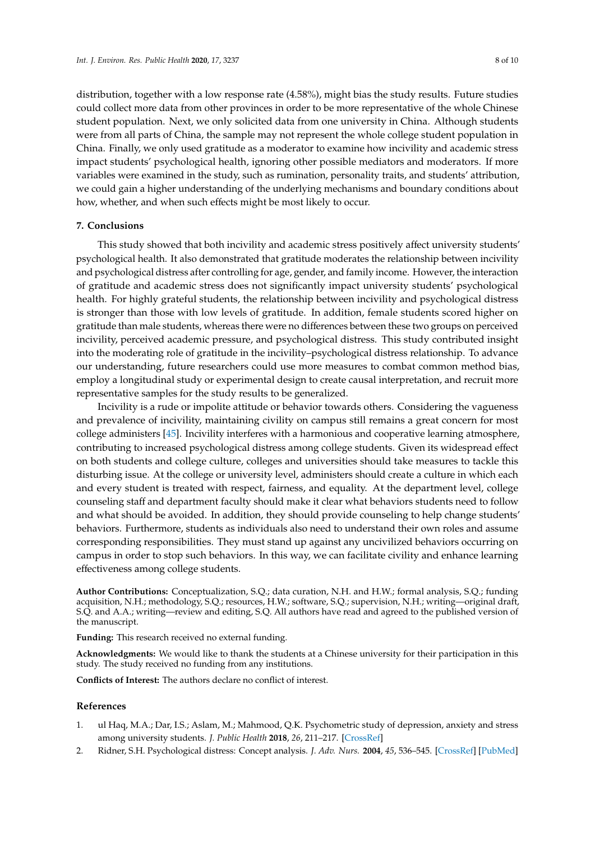distribution, together with a low response rate (4.58%), might bias the study results. Future studies could collect more data from other provinces in order to be more representative of the whole Chinese student population. Next, we only solicited data from one university in China. Although students were from all parts of China, the sample may not represent the whole college student population in China. Finally, we only used gratitude as a moderator to examine how incivility and academic stress impact students' psychological health, ignoring other possible mediators and moderators. If more variables were examined in the study, such as rumination, personality traits, and students' attribution, we could gain a higher understanding of the underlying mechanisms and boundary conditions about how, whether, and when such effects might be most likely to occur.

#### **7. Conclusions**

This study showed that both incivility and academic stress positively affect university students' psychological health. It also demonstrated that gratitude moderates the relationship between incivility and psychological distress after controlling for age, gender, and family income. However, the interaction of gratitude and academic stress does not significantly impact university students' psychological health. For highly grateful students, the relationship between incivility and psychological distress is stronger than those with low levels of gratitude. In addition, female students scored higher on gratitude than male students, whereas there were no differences between these two groups on perceived incivility, perceived academic pressure, and psychological distress. This study contributed insight into the moderating role of gratitude in the incivility–psychological distress relationship. To advance our understanding, future researchers could use more measures to combat common method bias, employ a longitudinal study or experimental design to create causal interpretation, and recruit more representative samples for the study results to be generalized.

Incivility is a rude or impolite attitude or behavior towards others. Considering the vagueness and prevalence of incivility, maintaining civility on campus still remains a great concern for most college administers [\[45\]](#page-9-18). Incivility interferes with a harmonious and cooperative learning atmosphere, contributing to increased psychological distress among college students. Given its widespread effect on both students and college culture, colleges and universities should take measures to tackle this disturbing issue. At the college or university level, administers should create a culture in which each and every student is treated with respect, fairness, and equality. At the department level, college counseling staff and department faculty should make it clear what behaviors students need to follow and what should be avoided. In addition, they should provide counseling to help change students' behaviors. Furthermore, students as individuals also need to understand their own roles and assume corresponding responsibilities. They must stand up against any uncivilized behaviors occurring on campus in order to stop such behaviors. In this way, we can facilitate civility and enhance learning effectiveness among college students.

**Author Contributions:** Conceptualization, S.Q.; data curation, N.H. and H.W.; formal analysis, S.Q.; funding acquisition, N.H.; methodology, S.Q.; resources, H.W.; software, S.Q.; supervision, N.H.; writing—original draft, S.Q. and A.A.; writing—review and editing, S.Q. All authors have read and agreed to the published version of the manuscript.

**Funding:** This research received no external funding.

**Acknowledgments:** We would like to thank the students at a Chinese university for their participation in this study. The study received no funding from any institutions.

**Conflicts of Interest:** The authors declare no conflict of interest.

#### **References**

- <span id="page-7-0"></span>1. ul Haq, M.A.; Dar, I.S.; Aslam, M.; Mahmood, Q.K. Psychometric study of depression, anxiety and stress among university students. *J. Public Health* **2018**, *26*, 211–217. [\[CrossRef\]](http://dx.doi.org/10.1007/s10389-017-0856-6)
- <span id="page-7-1"></span>2. Ridner, S.H. Psychological distress: Concept analysis. *J. Adv. Nurs.* **2004**, *45*, 536–545. [\[CrossRef\]](http://dx.doi.org/10.1046/j.1365-2648.2003.02938.x) [\[PubMed\]](http://www.ncbi.nlm.nih.gov/pubmed/15009358)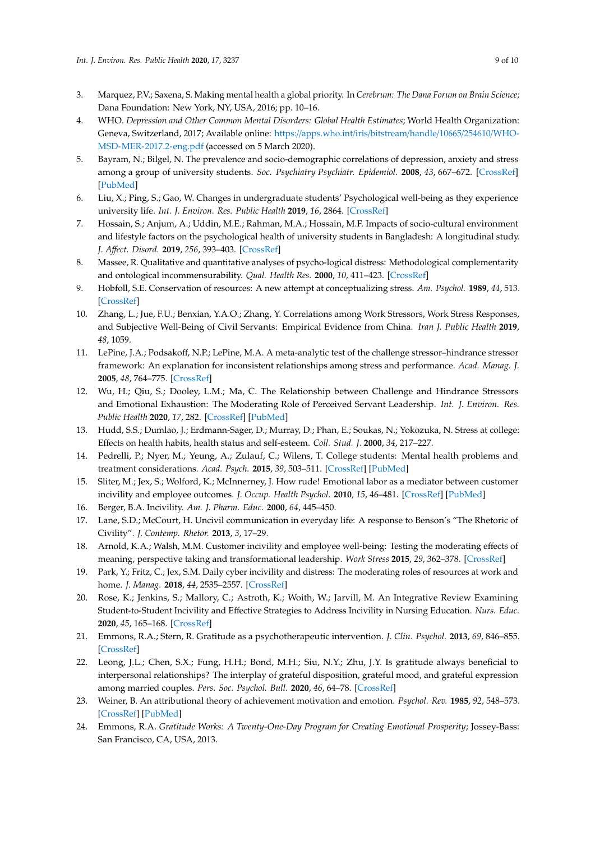- <span id="page-8-0"></span>3. Marquez, P.V.; Saxena, S. Making mental health a global priority. In *Cerebrum: The Dana Forum on Brain Science*; Dana Foundation: New York, NY, USA, 2016; pp. 10–16.
- <span id="page-8-1"></span>4. WHO. *Depression and Other Common Mental Disorders: Global Health Estimates*; World Health Organization: Geneva, Switzerland, 2017; Available online: https://[apps.who.int](https://apps.who.int/iris/bitstream/handle/10665/254610/WHO-MSD-MER-2017.2-eng.pdf)/iris/bitstream/handle/10665/254610/WHO-[MSD-MER-2017.2-eng.pdf](https://apps.who.int/iris/bitstream/handle/10665/254610/WHO-MSD-MER-2017.2-eng.pdf) (accessed on 5 March 2020).
- <span id="page-8-2"></span>5. Bayram, N.; Bilgel, N. The prevalence and socio-demographic correlations of depression, anxiety and stress among a group of university students. *Soc. Psychiatry Psychiatr. Epidemiol.* **2008**, *43*, 667–672. [\[CrossRef\]](http://dx.doi.org/10.1007/s00127-008-0345-x) [\[PubMed\]](http://www.ncbi.nlm.nih.gov/pubmed/18398558)
- <span id="page-8-3"></span>6. Liu, X.; Ping, S.; Gao, W. Changes in undergraduate students' Psychological well-being as they experience university life. *Int. J. Environ. Res. Public Health* **2019**, *16*, 2864. [\[CrossRef\]](http://dx.doi.org/10.3390/ijerph16162864)
- <span id="page-8-4"></span>7. Hossain, S.; Anjum, A.; Uddin, M.E.; Rahman, M.A.; Hossain, M.F. Impacts of socio-cultural environment and lifestyle factors on the psychological health of university students in Bangladesh: A longitudinal study. *J. A*ff*ect. Disord.* **2019**, *256*, 393–403. [\[CrossRef\]](http://dx.doi.org/10.1016/j.jad.2019.06.001)
- <span id="page-8-5"></span>8. Massee, R. Qualitative and quantitative analyses of psycho-logical distress: Methodological complementarity and ontological incommensurability. *Qual. Health Res.* **2000**, *10*, 411–423. [\[CrossRef\]](http://dx.doi.org/10.1177/104973200129118426)
- <span id="page-8-6"></span>9. Hobfoll, S.E. Conservation of resources: A new attempt at conceptualizing stress. *Am. Psychol.* **1989**, *44*, 513. [\[CrossRef\]](http://dx.doi.org/10.1037/0003-066X.44.3.513)
- <span id="page-8-7"></span>10. Zhang, L.; Jue, F.U.; Benxian, Y.A.O.; Zhang, Y. Correlations among Work Stressors, Work Stress Responses, and Subjective Well-Being of Civil Servants: Empirical Evidence from China. *Iran J. Public Health* **2019**, *48*, 1059.
- <span id="page-8-8"></span>11. LePine, J.A.; Podsakoff, N.P.; LePine, M.A. A meta-analytic test of the challenge stressor–hindrance stressor framework: An explanation for inconsistent relationships among stress and performance. *Acad. Manag. J.* **2005**, *48*, 764–775. [\[CrossRef\]](http://dx.doi.org/10.5465/amj.2005.18803921)
- <span id="page-8-9"></span>12. Wu, H.; Qiu, S.; Dooley, L.M.; Ma, C. The Relationship between Challenge and Hindrance Stressors and Emotional Exhaustion: The Moderating Role of Perceived Servant Leadership. *Int. J. Environ. Res. Public Health* **2020**, *17*, 282. [\[CrossRef\]](http://dx.doi.org/10.3390/ijerph17010282) [\[PubMed\]](http://www.ncbi.nlm.nih.gov/pubmed/31906094)
- <span id="page-8-10"></span>13. Hudd, S.S.; Dumlao, J.; Erdmann-Sager, D.; Murray, D.; Phan, E.; Soukas, N.; Yokozuka, N. Stress at college: Effects on health habits, health status and self-esteem. *Coll. Stud. J.* **2000**, *34*, 217–227.
- <span id="page-8-11"></span>14. Pedrelli, P.; Nyer, M.; Yeung, A.; Zulauf, C.; Wilens, T. College students: Mental health problems and treatment considerations. *Acad. Psych.* **2015**, *39*, 503–511. [\[CrossRef\]](http://dx.doi.org/10.1007/s40596-014-0205-9) [\[PubMed\]](http://www.ncbi.nlm.nih.gov/pubmed/25142250)
- <span id="page-8-12"></span>15. Sliter, M.; Jex, S.; Wolford, K.; McInnerney, J. How rude! Emotional labor as a mediator between customer incivility and employee outcomes. *J. Occup. Health Psychol.* **2010**, *15*, 46–481. [\[CrossRef\]](http://dx.doi.org/10.1037/a0020723) [\[PubMed\]](http://www.ncbi.nlm.nih.gov/pubmed/21058859)
- <span id="page-8-13"></span>16. Berger, B.A. Incivility. *Am. J. Pharm. Educ.* **2000**, *64*, 445–450.
- <span id="page-8-14"></span>17. Lane, S.D.; McCourt, H. Uncivil communication in everyday life: A response to Benson's "The Rhetoric of Civility". *J. Contemp. Rhetor.* **2013**, *3*, 17–29.
- <span id="page-8-15"></span>18. Arnold, K.A.; Walsh, M.M. Customer incivility and employee well-being: Testing the moderating effects of meaning, perspective taking and transformational leadership. *Work Stress* **2015**, *29*, 362–378. [\[CrossRef\]](http://dx.doi.org/10.1080/02678373.2015.1075234)
- <span id="page-8-16"></span>19. Park, Y.; Fritz, C.; Jex, S.M. Daily cyber incivility and distress: The moderating roles of resources at work and home. *J. Manag.* **2018**, *44*, 2535–2557. [\[CrossRef\]](http://dx.doi.org/10.1177/0149206315576796)
- <span id="page-8-17"></span>20. Rose, K.; Jenkins, S.; Mallory, C.; Astroth, K.; Woith, W.; Jarvill, M. An Integrative Review Examining Student-to-Student Incivility and Effective Strategies to Address Incivility in Nursing Education. *Nurs. Educ.* **2020**, *45*, 165–168. [\[CrossRef\]](http://dx.doi.org/10.1097/NNE.0000000000000719)
- <span id="page-8-18"></span>21. Emmons, R.A.; Stern, R. Gratitude as a psychotherapeutic intervention. *J. Clin. Psychol.* **2013**, *69*, 846–855. [\[CrossRef\]](http://dx.doi.org/10.1002/jclp.22020)
- <span id="page-8-19"></span>22. Leong, J.L.; Chen, S.X.; Fung, H.H.; Bond, M.H.; Siu, N.Y.; Zhu, J.Y. Is gratitude always beneficial to interpersonal relationships? The interplay of grateful disposition, grateful mood, and grateful expression among married couples. *Pers. Soc. Psychol. Bull.* **2020**, *46*, 64–78. [\[CrossRef\]](http://dx.doi.org/10.1177/0146167219842868)
- <span id="page-8-20"></span>23. Weiner, B. An attributional theory of achievement motivation and emotion. *Psychol. Rev.* **1985**, *92*, 548–573. [\[CrossRef\]](http://dx.doi.org/10.1037/0033-295X.92.4.548) [\[PubMed\]](http://www.ncbi.nlm.nih.gov/pubmed/3903815)
- <span id="page-8-21"></span>24. Emmons, R.A. *Gratitude Works: A Twenty-One-Day Program for Creating Emotional Prosperity*; Jossey-Bass: San Francisco, CA, USA, 2013.